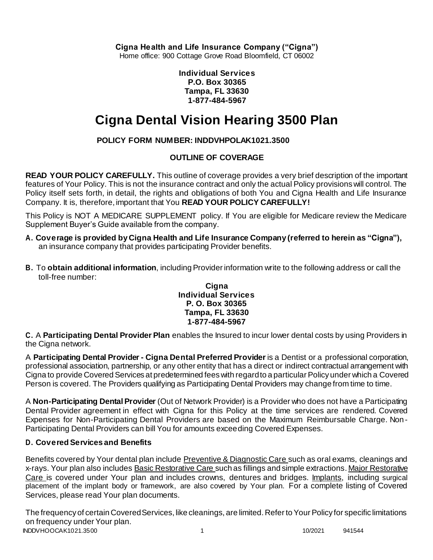**Cigna Health and Life Insurance Company ("Cigna")**

Home office: 900 Cottage Grove Road Bloomfield, CT 06002

**Individual Services P.O. Box 30365 Tampa, FL 33630 1-877-484-5967**

# **Cigna Dental Vision Hearing 3500 Plan**

# **POLICY FORM NUMBER: INDDVHPOLAK1021.3500**

# **OUTLINE OF COVERAGE**

**READ YOUR POLICY CAREFULLY.** This outline of coverage provides a very brief description of the important features of Your Policy. This is not the insurance contract and only the actual Policy provisions will control. The Policy itself sets forth, in detail, the rights and obligations of both You and Cigna Health and Life Insurance Company. It is, therefore, important that You **READ YOUR POLICY CAREFULLY!**

This Policy is NOT A MEDICARE SUPPLEMENT policy. If You are eligible for Medicare review the Medicare Supplement Buyer's Guide available from the company.

- **A. Coverage is provided by Cigna Health and Life Insurance Company (referred to herein as "Cigna"),** an insurance company that provides participating Provider benefits.
- **B.** To **obtain additional information**, including Provider information write to the following address or call the toll-free number:

#### **Cigna Individual Services P. O. Box 30365 Tampa, FL 33630 1-877-484-5967**

**C.** A **Participating Dental Provider Plan** enables the Insured to incur lower dental costs by using Providers in the Cigna network.

A **Participating Dental Provider - Cigna Dental Preferred Provider** is a Dentist or a professional corporation, professional association, partnership, or any other entity that has a direct or indirect contractual arrangement with Cigna to provide Covered Services at predetermined fees with regard to a particular Policy under which a Covered Person is covered. The Providers qualifying as Participating Dental Providers may change from time to time.

A **Non-Participating Dental Provider** (Out of Network Provider) is a Provider who does not have a Participating Dental Provider agreement in effect with Cigna for this Policy at the time services are rendered. Covered Expenses for Non-Participating Dental Providers are based on the Maximum Reimbursable Charge. Non-Participating Dental Providers can bill You for amounts exceeding Covered Expenses.

# **D. Covered Services and Benefits**

Benefits covered by Your dental plan include Preventive & Diagnostic Care such as oral exams, cleanings and x-rays. Your plan also includes Basic Restorative Care such as fillings and simple extractions. Major Restorative Care is covered under Your plan and includes crowns, dentures and bridges. Implants, including surgical placement of the implant body or framework, are also covered by Your plan. For a complete listing of Covered Services, please read Your plan documents.

INDDVHOOCAK1021.3500 1 10/2021 941544 The frequency of certain Covered Services, like cleanings, are limited. Refer to Your Policy for specific limitations on frequency under Your plan.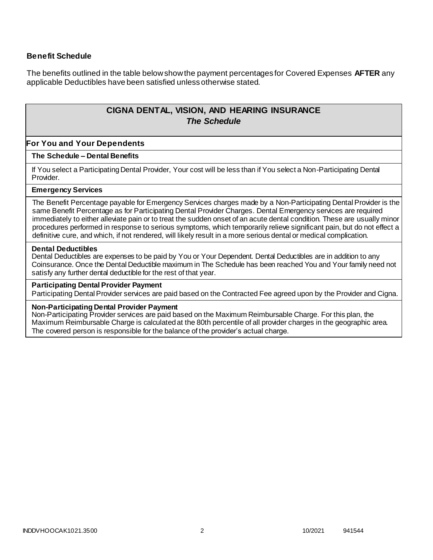### **Benefit Schedule**

The benefits outlined in the table below show the payment percentages for Covered Expenses **AFTER** any applicable Deductibles have been satisfied unless otherwise stated.

# **CIGNA DENTAL, VISION, AND HEARING INSURANCE** *The Schedule*

# **For You and Your Dependents**

# **The Schedule – Dental Benefits**

If You select a Participating Dental Provider, Your cost will be less than if You select a Non-Participating Dental Provider.

#### **Emergency Services**

The Benefit Percentage payable for Emergency Services charges made by a Non-Participating Dental Provider is the same Benefit Percentage as for Participating Dental Provider Charges. Dental Emergency services are required immediately to either alleviate pain or to treat the sudden onset of an acute dental condition. These are usually minor procedures performed in response to serious symptoms, which temporarily relieve significant pain, but do not effect a definitive cure, and which, if not rendered, will likely result in a more serious dental or medical complication.

#### **Dental Deductibles**

Dental Deductibles are expenses to be paid by You or Your Dependent. Dental Deductibles are in addition to any Coinsurance. Once the Dental Deductible maximum in The Schedule has been reached You and Your family need not satisfy any further dental deductible for the rest of that year.

#### **Participating Dental Provider Payment**

Participating Dental Provider services are paid based on the Contracted Fee agreed upon by the Provider and Cigna.

#### **Non-Participating Dental Provider Payment**

Non-Participating Provider services are paid based on the Maximum Reimbursable Charge. For this plan, the Maximum Reimbursable Charge is calculated at the 80th percentile of all provider charges in the geographic area. The covered person is responsible for the balance of the provider's actual charge.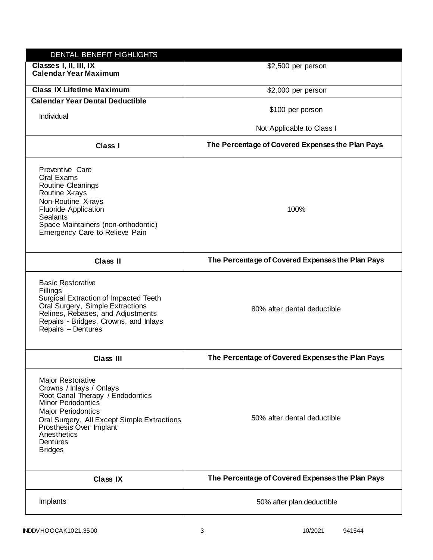| DENTAL BENEFIT HIGHLIGHTS                                                                                                                                                                                                                                                 |                                                  |
|---------------------------------------------------------------------------------------------------------------------------------------------------------------------------------------------------------------------------------------------------------------------------|--------------------------------------------------|
| Classes I, II, III, IX<br><b>Calendar Year Maximum</b>                                                                                                                                                                                                                    | \$2,500 per person                               |
| <b>Class IX Lifetime Maximum</b>                                                                                                                                                                                                                                          | \$2,000 per person                               |
| <b>Calendar Year Dental Deductible</b>                                                                                                                                                                                                                                    |                                                  |
| Individual                                                                                                                                                                                                                                                                | \$100 per person                                 |
|                                                                                                                                                                                                                                                                           | Not Applicable to Class I                        |
| Class I                                                                                                                                                                                                                                                                   | The Percentage of Covered Expenses the Plan Pays |
| Preventive Care<br>Oral Exams<br><b>Routine Cleanings</b><br>Routine X-rays<br>Non-Routine X-rays<br><b>Fluoride Application</b><br><b>Sealants</b><br>Space Maintainers (non-orthodontic)<br>Emergency Care to Relieve Pain                                              | 100%                                             |
| <b>Class II</b>                                                                                                                                                                                                                                                           | The Percentage of Covered Expenses the Plan Pays |
| <b>Basic Restorative</b><br>Fillings<br>Surgical Extraction of Impacted Teeth<br>Oral Surgery, Simple Extractions<br>Relines, Rebases, and Adjustments<br>Repairs - Bridges, Crowns, and Inlays<br>Repairs - Dentures                                                     | 80% after dental deductible                      |
| <b>Class III</b>                                                                                                                                                                                                                                                          | The Percentage of Covered Expenses the Plan Pays |
| <b>Major Restorative</b><br>Crowns / Inlays / Onlays<br>Root Canal Therapy / Endodontics<br><b>Minor Periodontics</b><br><b>Major Periodontics</b><br>Oral Surgery, All Except Simple Extractions<br>Prosthesis Over Implant<br>Anesthetics<br>Dentures<br><b>Bridges</b> | 50% after dental deductible                      |
| <b>Class IX</b>                                                                                                                                                                                                                                                           | The Percentage of Covered Expenses the Plan Pays |
| Implants                                                                                                                                                                                                                                                                  | 50% after plan deductible                        |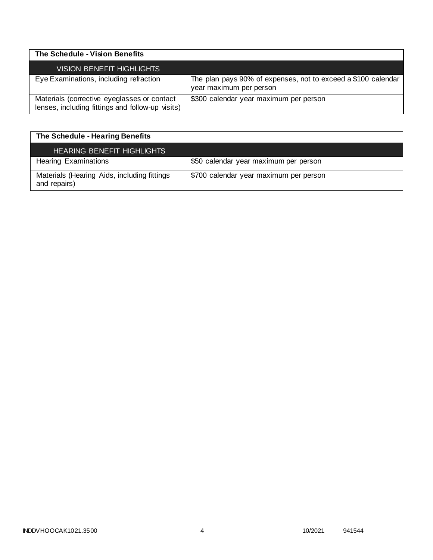| The Schedule - Vision Benefits                                                                  |                                                                                          |
|-------------------------------------------------------------------------------------------------|------------------------------------------------------------------------------------------|
| VISION BENEFIT HIGHLIGHTS                                                                       |                                                                                          |
| Eye Examinations, including refraction                                                          | The plan pays 90% of expenses, not to exceed a \$100 calendar<br>year maximum per person |
| Materials (corrective eyeglasses or contact<br>lenses, including fittings and follow-up visits) | \$300 calendar year maximum per person                                                   |

| The Schedule - Hearing Benefits                             |                                        |
|-------------------------------------------------------------|----------------------------------------|
| <b>HEARING BENEFIT HIGHLIGHTS</b>                           |                                        |
| <b>Hearing Examinations</b>                                 | \$50 calendar year maximum per person  |
| Materials (Hearing Aids, including fittings<br>and repairs) | \$700 calendar year maximum per person |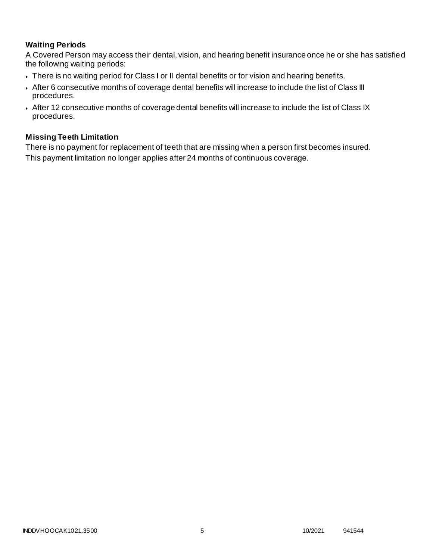# **Waiting Periods**

A Covered Person may access their dental, vision, and hearing benefit insurance once he or she has satisfied the following waiting periods:

- There is no waiting period for Class I or II dental benefits or for vision and hearing benefits.
- After 6 consecutive months of coverage dental benefits will increase to include the list of Class III procedures.
- After 12 consecutive months of coverage dental benefits will increase to include the list of Class IX procedures.

# **Missing Teeth Limitation**

There is no payment for replacement of teeth that are missing when a person first becomes insured. This payment limitation no longer applies after 24 months of continuous coverage.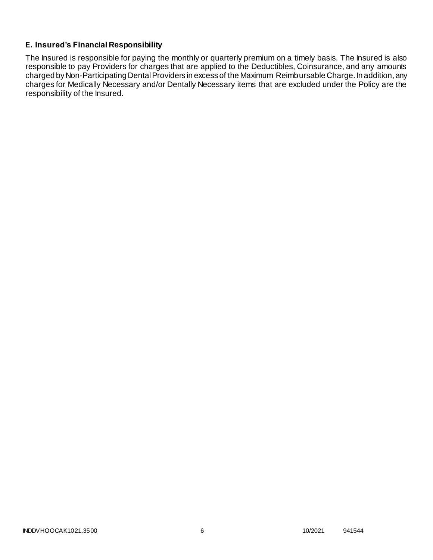# **E. Insured's Financial Responsibility**

The Insured is responsible for paying the monthly or quarterly premium on a timely basis. The Insured is also responsible to pay Providers for charges that are applied to the Deductibles, Coinsurance, and any amounts charged by Non-Participating Dental Providers in excess of the Maximum Reimbursable Charge. In addition, any charges for Medically Necessary and/or Dentally Necessary items that are excluded under the Policy are the responsibility of the Insured.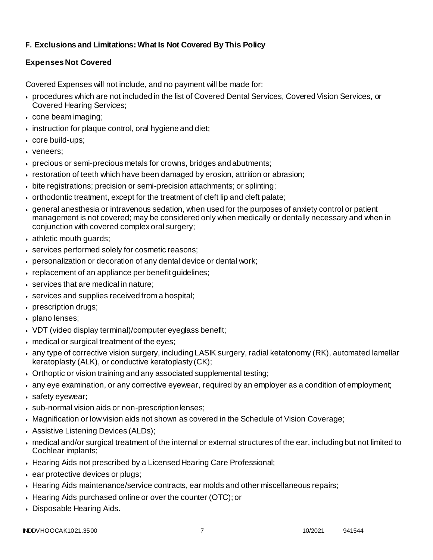# **F. Exclusions and Limitations: What Is Not Covered By This Policy**

# **Expenses Not Covered**

Covered Expenses will not include, and no payment will be made for:

- procedures which are not included in the list of Covered Dental Services, Covered Vision Services, or Covered Hearing Services;
- cone beam imaging;
- $\bullet$  instruction for plaque control, oral hygiene and diet;
- core build-ups;
- veneers:
- precious or semi-precious metals for crowns, bridges andabutments;
- restoration of teeth which have been damaged by erosion, attrition or abrasion;
- bite registrations; precision or semi-precision attachments; or splinting;
- orthodontic treatment, except for the treatment of cleft lip and cleft palate;
- general anesthesia or intravenous sedation, when used for the purposes of anxiety control or patient management is not covered; may be considered only when medically or dentally necessary and when in conjunction with covered complex oral surgery;
- athletic mouth guards;
- services performed solely for cosmetic reasons;
- personalization or decoration of any dental device or dental work;
- replacement of an appliance per benefit guidelines;
- services that are medical in nature;
- services and supplies received from a hospital;
- prescription drugs;
- plano lenses;
- VDT (video display terminal)/computer eyeglass benefit;
- medical or surgical treatment of the eyes;
- any type of corrective vision surgery, including LASIK surgery, radial ketatonomy (RK), automated lamellar keratoplasty (ALK), or conductive keratoplasty (CK);
- Orthoptic or vision training and any associated supplemental testing;
- any eye examination, or any corrective eyewear, required by an employer as a condition of employment;
- safety eyewear;
- sub-normal vision aids or non-prescriptionlenses;
- Magnification or low vision aids not shown as covered in the Schedule of Vision Coverage;
- Assistive Listening Devices (ALDs);
- medical and/or surgical treatment of the internal or external structures of the ear, including but not limited to Cochlear implants;
- Hearing Aids not prescribed by a Licensed Hearing Care Professional;
- ear protective devices or plugs;
- Hearing Aids maintenance/service contracts, ear molds and other miscellaneous repairs;
- Hearing Aids purchased online or over the counter (OTC); or
- Disposable Hearing Aids.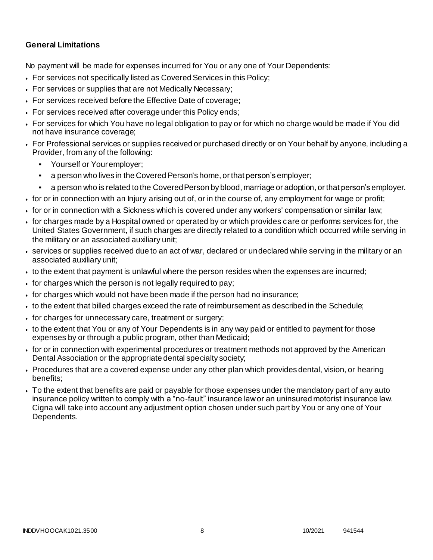# **General Limitations**

No payment will be made for expenses incurred for You or any one of Your Dependents:

- For services not specifically listed as Covered Services in this Policy;
- For services or supplies that are not Medically Necessary;
- For services received before the Effective Date of coverage;
- For services received after coverage under this Policy ends;
- For services for which You have no legal obligation to pay or for which no charge would be made if You did not have insurance coverage;
- For Professional services or supplies received or purchased directly or on Your behalf by anyone, including a Provider, from any of the following:
	- Yourself or Youremployer:
	- a person who lives in the Covered Person's home, or that person's employer;
	- a person who is related to the Covered Person by blood, marriage or adoption, or that person's employer.
- for or in connection with an Injury arising out of, or in the course of, any employment for wage or profit;
- for or in connection with a Sickness which is covered under any workers' compensation or similar law;
- for charges made by a Hospital owned or operated by or which provides care or performs services for, the United States Government, if such charges are directly related to a condition which occurred while serving in the military or an associated auxiliary unit;
- services or supplies received due to an act of war, declared or undeclared while serving in the military or an associated auxiliary unit;
- to the extent that payment is unlawful where the person resides when the expenses are incurred;
- for charges which the person is not legally required to pay;
- for charges which would not have been made if the person had no insurance;
- to the extent that billed charges exceed the rate of reimbursement as described in the Schedule;
- for charges for unnecessary care, treatment or surgery;
- to the extent that You or any of Your Dependents is in any way paid or entitled to payment for those expenses by or through a public program, other than Medicaid;
- for or in connection with experimental procedures or treatment methods not approved by the American Dental Association or the appropriate dental specialty society;
- Procedures that are a covered expense under any other plan which provides dental, vision, or hearing benefits;
- To the extent that benefits are paid or payable for those expenses under the mandatory part of any auto insurance policy written to comply with a "no-fault" insurance law or an uninsured motorist insurance law. Cigna will take into account any adjustment option chosen under such part by You or any one of Your Dependents.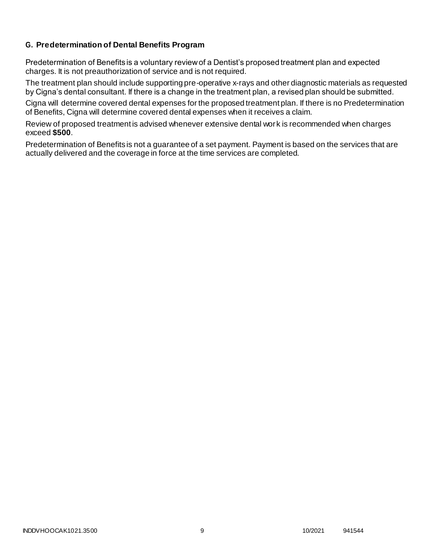# **G. Predetermination of Dental Benefits Program**

Predetermination of Benefits is a voluntary review of a Dentist's proposed treatment plan and expected charges. It is not preauthorization of service and is not required.

The treatment plan should include supporting pre-operative x-rays and other diagnostic materials as requested by Cigna's dental consultant. If there is a change in the treatment plan, a revised plan should be submitted.

Cigna will determine covered dental expenses for the proposed treatment plan. If there is no Predetermination of Benefits, Cigna will determine covered dental expenses when it receives a claim.

Review of proposed treatment is advised whenever extensive dental work is recommended when charges exceed **\$500**.

Predetermination of Benefits is not a guarantee of a set payment. Payment is based on the services that are actually delivered and the coverage in force at the time services are completed.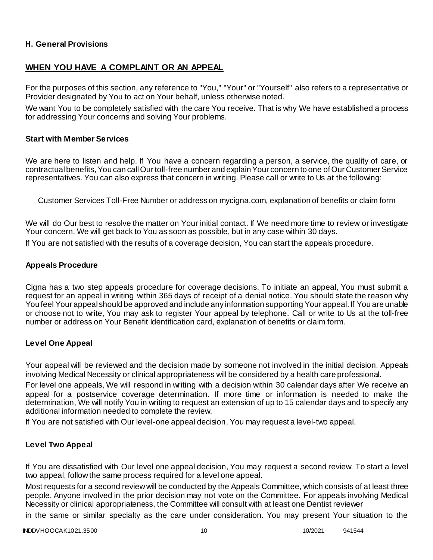### **H. General Provisions**

# **WHEN YOU HAVE A COMPLAINT OR AN APPEAL**

For the purposes of this section, any reference to "You," "Your" or "Yourself" also refers to a representative or Provider designated by You to act on Your behalf, unless otherwise noted.

We want You to be completely satisfied with the care You receive. That is why We have established a process for addressing Your concerns and solving Your problems.

#### **Start with Member Services**

We are here to listen and help. If You have a concern regarding a person, a service, the quality of care, or contractual benefits, You can call Our toll-free number and explain Your concern to one of Our Customer Service representatives. You can also express that concern in writing. Please call or write to Us at the following:

Customer Services Toll-Free Number or address on mycigna.com, explanation of benefits or claim form

We will do Our best to resolve the matter on Your initial contact. If We need more time to review or investigate Your concern, We will get back to You as soon as possible, but in any case within 30 days.

If You are not satisfied with the results of a coverage decision, You can start the appeals procedure.

#### **Appeals Procedure**

Cigna has a two step appeals procedure for coverage decisions. To initiate an appeal, You must submit a request for an appeal in writing within 365 days of receipt of a denial notice. You should state the reason why You feel Your appeal should be approved and include any information supporting Your appeal. If You are unable or choose not to write, You may ask to register Your appeal by telephone. Call or write to Us at the toll-free number or address on Your Benefit Identification card, explanation of benefits or claim form.

### **Level One Appeal**

Your appeal will be reviewed and the decision made by someone not involved in the initial decision. Appeals involving Medical Necessity or clinical appropriateness will be considered by a health care professional.

For level one appeals, We will respond in writing with a decision within 30 calendar days after We receive an appeal for a postservice coverage determination. If more time or information is needed to make the determination, We will notify You in writing to request an extension of up to 15 calendar days and to specify any additional information needed to complete the review.

If You are not satisfied with Our level-one appeal decision, You may request a level-two appeal.

### **Level Two Appeal**

If You are dissatisfied with Our level one appeal decision, You may request a second review. To start a level two appeal, follow the same process required for a level one appeal.

Most requests for a second review will be conducted by the Appeals Committee, which consists of at least three people. Anyone involved in the prior decision may not vote on the Committee. For appeals involving Medical Necessity or clinical appropriateness, the Committee will consult with at least one Dentist reviewer

in the same or similar specialty as the care under consideration. You may present Your situation to the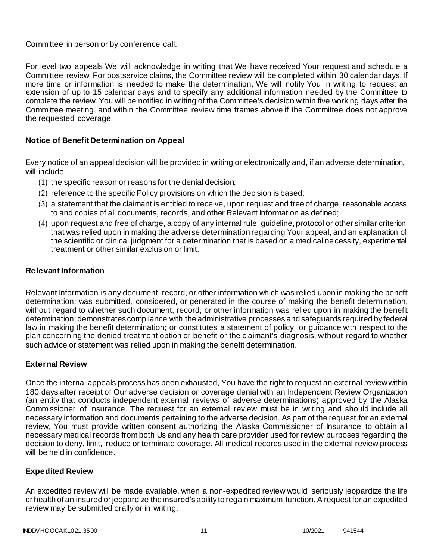Committee in person or by conference call.

For level two appeals We will acknowledge in writing that We have received Your request and schedule a Committee review. For postservice claims, the Committee review will be completed within 30 calendar days. If more time or information is needed to make the determination, We will notify You in writing to request an extension of up to 15 calendar days and to specify any additional information needed by the Committee to complete the review. You will be notified in writing of the Committee's decision within five working days after the Committee meeting, and within the Committee review time frames above if the Committee does not approve the requested coverage.

# **Notice of Benefit Determination on Appeal**

Every notice of an appeal decision will be provided in writing or electronically and, if an adverse determination, will include:

- (1) the specific reason or reasons for the denial decision;
- (2) reference to the specific Policy provisions on which the decision is based;
- (3) a statement that the claimant is entitled to receive, upon request and free of charge, reasonable access to and copies of all documents, records, and other Relevant Information as defined;
- (4) upon request and free of charge, a copy of any internal rule, guideline, protocol or other similar criterion that was relied upon in making the adverse determination regarding Your appeal, and an explanation of the scientific or clinical judgment for a determination that is based on a medical necessity, experimental treatment or other similar exclusion or limit.

# **Relevant Information**

Relevant Information is any document, record, or other information which was relied upon in making the benefit determination; was submitted, considered, or generated in the course of making the benefit determination, without regard to whether such document, record, or other information was relied upon in making the benefit determination; demonstrates compliance with the administrative processes and safeguards required by federal law in making the benefit determination; or constitutes a statement of policy or guidance with respect to the plan concerning the denied treatment option or benefit or the claimant's diagnosis, without regard to whether such advice or statement was relied upon in making the benefit determination.

# **External Review**

Once the internal appeals process has been exhausted, You have the right to request an external review within 180 days after receipt of Our adverse decision or coverage denial with an Independent Review Organization (an entity that conducts independent external reviews of adverse determinations) approved by the Alaska Commissioner of Insurance. The request for an external review must be in writing and should include all necessary information and documents pertaining to the adverse decision. As part of the request for an external review, You must provide written consent authorizing the Alaska Commissioner of Insurance to obtain all necessary medical records from both Us and any health care provider used for review purposes regarding the decision to deny, limit, reduce or terminate coverage. All medical records used in the external review process will be held in confidence.

### **Expedited Review**

An expedited review will be made available, when a non-expedited review would seriously jeopardize the life or health of an insured or jeopardize the insured's ability to regain maximum function. A request for an expedited review may be submitted orally or in writing.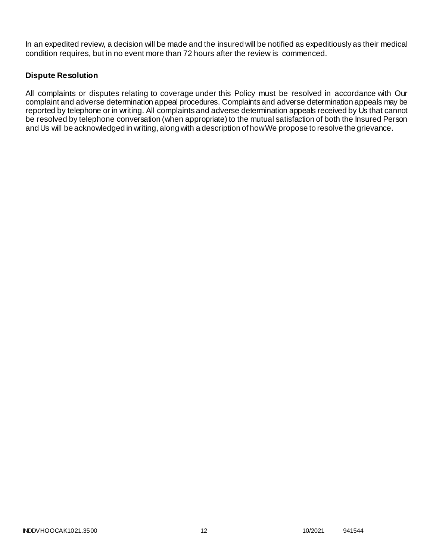In an expedited review, a decision will be made and the insured will be notified as expeditiously as their medical condition requires, but in no event more than 72 hours after the review is commenced.

# **Dispute Resolution**

All complaints or disputes relating to coverage under this Policy must be resolved in accordance with Our complaint and adverse determination appeal procedures. Complaints and adverse determination appeals may be reported by telephone or in writing. All complaints and adverse determination appeals received by Us that cannot be resolved by telephone conversation (when appropriate) to the mutual satisfaction of both the Insured Person and Us will be acknowledged in writing, along with a description of howWe propose to resolve the grievance.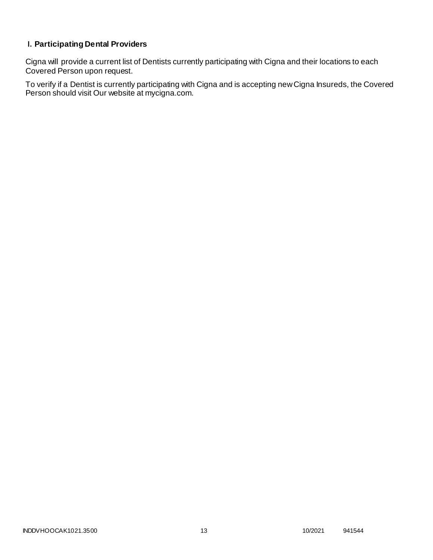# **I. Participating Dental Providers**

Cigna will provide a current list of Dentists currently participating with Cigna and their locations to each Covered Person upon request.

To verify if a Dentist is currently participating with Cigna and is accepting new Cigna Insureds, the Covered Person should visit Our website at mycigna.com.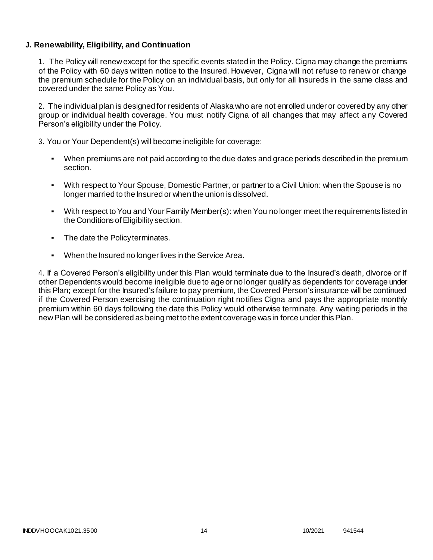# **J. Renewability, Eligibility, and Continuation**

1. The Policy will renew except for the specific events stated in the Policy. Cigna may change the premiums of the Policy with 60 days written notice to the Insured. However, Cigna will not refuse to renew or change the premium schedule for the Policy on an individual basis, but only for all Insureds in the same class and covered under the same Policy as You.

2. The individual plan is designed for residents of Alaska who are not enrolled under or covered by any other group or individual health coverage. You must notify Cigna of all changes that may affect a ny Covered Person's eligibility under the Policy.

3. You or Your Dependent(s) will become ineligible for coverage:

- When premiums are not paid according to the due dates and grace periods described in the premium section.
- With respect to Your Spouse, Domestic Partner, or partner to a Civil Union: when the Spouse is no longer married to the Insured or when the union is dissolved.
- With respect to You and Your Family Member(s): when You no longer meet the requirements listed in the Conditions of Eligibility section.
- The date the Policy terminates.
- When the Insured no longer lives in the Service Area.

4. If a Covered Person's eligibility under this Plan would terminate due to the Insured's death, divorce or if other Dependents would become ineligible due to age or no longer qualify as dependents for coverage under this Plan; except for the Insured's failure to pay premium, the Covered Person's insurance will be continued if the Covered Person exercising the continuation right notifies Cigna and pays the appropriate monthly premium within 60 days following the date this Policy would otherwise terminate. Any waiting periods in the newPlan will be considered as being met to the extent coverage was in force under thisPlan.